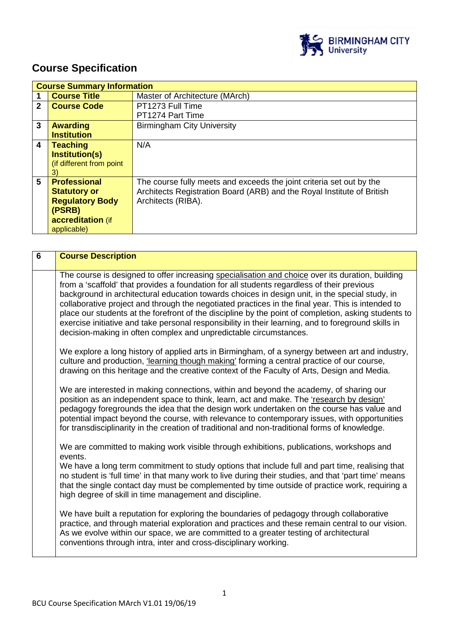

# **Course Specification**

|              | <b>Course Summary Information</b> |                                                                        |  |
|--------------|-----------------------------------|------------------------------------------------------------------------|--|
|              | <b>Course Title</b>               | Master of Architecture (MArch)                                         |  |
| $\mathbf{2}$ | <b>Course Code</b>                | PT1273 Full Time                                                       |  |
|              |                                   | PT1274 Part Time                                                       |  |
| 3            | <b>Awarding</b>                   | <b>Birmingham City University</b>                                      |  |
|              | <b>Institution</b>                |                                                                        |  |
| 4            | <b>Teaching</b>                   | N/A                                                                    |  |
|              | <b>Institution(s)</b>             |                                                                        |  |
|              | (if different from point          |                                                                        |  |
|              | 3)                                |                                                                        |  |
| 5            | <b>Professional</b>               | The course fully meets and exceeds the joint criteria set out by the   |  |
|              | <b>Statutory or</b>               | Architects Registration Board (ARB) and the Royal Institute of British |  |
|              | <b>Regulatory Body</b>            | Architects (RIBA).                                                     |  |
|              | (PSRB)                            |                                                                        |  |
|              | accreditation (if                 |                                                                        |  |
|              | applicable)                       |                                                                        |  |

| $\overline{6}$ | <b>Course Description</b>                                                                                                                                                                                                                                                                                                                                                                                                                                                                                                                                                                                                                                                                 |
|----------------|-------------------------------------------------------------------------------------------------------------------------------------------------------------------------------------------------------------------------------------------------------------------------------------------------------------------------------------------------------------------------------------------------------------------------------------------------------------------------------------------------------------------------------------------------------------------------------------------------------------------------------------------------------------------------------------------|
|                | The course is designed to offer increasing specialisation and choice over its duration, building<br>from a 'scaffold' that provides a foundation for all students regardless of their previous<br>background in architectural education towards choices in design unit, in the special study, in<br>collaborative project and through the negotiated practices in the final year. This is intended to<br>place our students at the forefront of the discipline by the point of completion, asking students to<br>exercise initiative and take personal responsibility in their learning, and to foreground skills in<br>decision-making in often complex and unpredictable circumstances. |
|                | We explore a long history of applied arts in Birmingham, of a synergy between art and industry,<br>culture and production, 'learning though making' forming a central practice of our course,<br>drawing on this heritage and the creative context of the Faculty of Arts, Design and Media.                                                                                                                                                                                                                                                                                                                                                                                              |
|                | We are interested in making connections, within and beyond the academy, of sharing our<br>position as an independent space to think, learn, act and make. The 'research by design'<br>pedagogy foregrounds the idea that the design work undertaken on the course has value and<br>potential impact beyond the course, with relevance to contemporary issues, with opportunities<br>for transdisciplinarity in the creation of traditional and non-traditional forms of knowledge.                                                                                                                                                                                                        |
|                | We are committed to making work visible through exhibitions, publications, workshops and<br>events.<br>We have a long term commitment to study options that include full and part time, realising that<br>no student is 'full time' in that many work to live during their studies, and that 'part time' means<br>that the single contact day must be complemented by time outside of practice work, requiring a<br>high degree of skill in time management and discipline.                                                                                                                                                                                                               |
|                | We have built a reputation for exploring the boundaries of pedagogy through collaborative<br>practice, and through material exploration and practices and these remain central to our vision.<br>As we evolve within our space, we are committed to a greater testing of architectural<br>conventions through intra, inter and cross-disciplinary working.                                                                                                                                                                                                                                                                                                                                |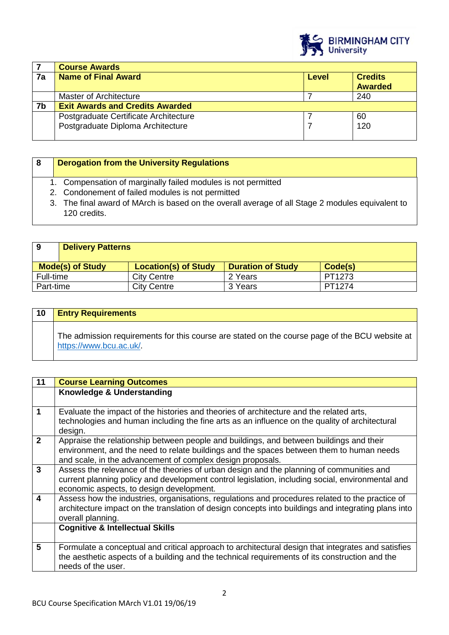

|    | <b>Course Awards</b>                   |  |                |
|----|----------------------------------------|--|----------------|
| 7a | <b>Name of Final Award</b><br>Level    |  | <b>Credits</b> |
|    |                                        |  | <b>Awarded</b> |
|    | Master of Architecture                 |  | 240            |
| 7b | <b>Exit Awards and Credits Awarded</b> |  |                |
|    | Postgraduate Certificate Architecture  |  | 60             |
|    | Postgraduate Diploma Architecture      |  | 120            |
|    |                                        |  |                |

| -8 | <b>Derogation from the University Regulations</b>                                                                |
|----|------------------------------------------------------------------------------------------------------------------|
|    | 1. Compensation of marginally failed modules is not permitted                                                    |
|    | 2. Condonement of failed modules is not permitted                                                                |
|    | 3. The final award of MArch is based on the overall average of all Stage 2 modules equivalent to<br>120 credits. |

| -9                      | <b>Delivery Patterns</b> |                             |                          |         |
|-------------------------|--------------------------|-----------------------------|--------------------------|---------|
| <b>Mode(s) of Study</b> |                          | <b>Location(s) of Study</b> | <b>Duration of Study</b> | Code(s) |
| Full-time               |                          | <b>City Centre</b>          | 2 Years                  | PT1273  |
| Part-time               |                          | <b>City Centre</b>          | 3 Years                  | PT1274  |

| 10 | <b>Entry Requirements</b>                                                                                                |
|----|--------------------------------------------------------------------------------------------------------------------------|
|    | The admission requirements for this course are stated on the course page of the BCU website at<br>https://www.bcu.ac.uk/ |

| 11                      | <b>Course Learning Outcomes</b>                                                                                                                                                                                                                   |
|-------------------------|---------------------------------------------------------------------------------------------------------------------------------------------------------------------------------------------------------------------------------------------------|
|                         | Knowledge & Understanding                                                                                                                                                                                                                         |
| $\blacktriangleleft$    | Evaluate the impact of the histories and theories of architecture and the related arts,<br>technologies and human including the fine arts as an influence on the quality of architectural<br>design.                                              |
| $\overline{2}$          | Appraise the relationship between people and buildings, and between buildings and their<br>environment, and the need to relate buildings and the spaces between them to human needs<br>and scale, in the advancement of complex design proposals. |
| $\mathbf{3}$            | Assess the relevance of the theories of urban design and the planning of communities and<br>current planning policy and development control legislation, including social, environmental and<br>economic aspects, to design development.          |
| $\overline{\mathbf{4}}$ | Assess how the industries, organisations, regulations and procedures related to the practice of<br>architecture impact on the translation of design concepts into buildings and integrating plans into<br>overall planning.                       |
|                         | <b>Cognitive &amp; Intellectual Skills</b>                                                                                                                                                                                                        |
| 5                       | Formulate a conceptual and critical approach to architectural design that integrates and satisfies<br>the aesthetic aspects of a building and the technical requirements of its construction and the<br>needs of the user.                        |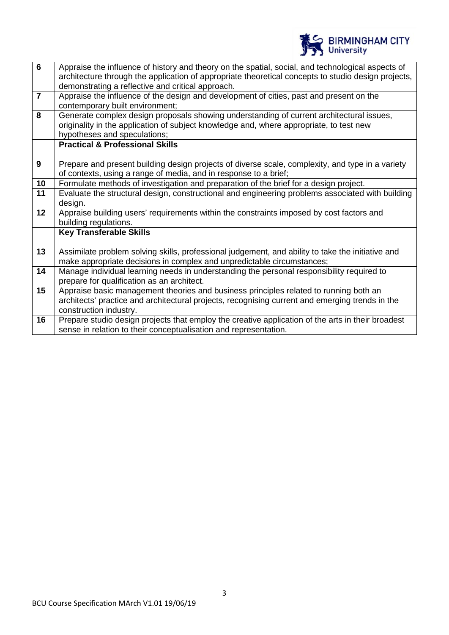

| $\overline{6}$  | Appraise the influence of history and theory on the spatial, social, and technological aspects of<br>architecture through the application of appropriate theoretical concepts to studio design projects,<br>demonstrating a reflective and critical approach. |
|-----------------|---------------------------------------------------------------------------------------------------------------------------------------------------------------------------------------------------------------------------------------------------------------|
| $\overline{7}$  | Appraise the influence of the design and development of cities, past and present on the<br>contemporary built environment;                                                                                                                                    |
| 8               | Generate complex design proposals showing understanding of current architectural issues,<br>originality in the application of subject knowledge and, where appropriate, to test new<br>hypotheses and speculations;                                           |
|                 | <b>Practical &amp; Professional Skills</b>                                                                                                                                                                                                                    |
| 9               | Prepare and present building design projects of diverse scale, complexity, and type in a variety<br>of contexts, using a range of media, and in response to a brief;                                                                                          |
| 10              | Formulate methods of investigation and preparation of the brief for a design project.                                                                                                                                                                         |
| 11              | Evaluate the structural design, constructional and engineering problems associated with building<br>design.                                                                                                                                                   |
| $\overline{12}$ | Appraise building users' requirements within the constraints imposed by cost factors and<br>building regulations.                                                                                                                                             |
|                 | <b>Key Transferable Skills</b>                                                                                                                                                                                                                                |
| 13              | Assimilate problem solving skills, professional judgement, and ability to take the initiative and<br>make appropriate decisions in complex and unpredictable circumstances;                                                                                   |
| 14              | Manage individual learning needs in understanding the personal responsibility required to<br>prepare for qualification as an architect.                                                                                                                       |
| 15              | Appraise basic management theories and business principles related to running both an<br>architects' practice and architectural projects, recognising current and emerging trends in the<br>construction industry.                                            |
| 16              | Prepare studio design projects that employ the creative application of the arts in their broadest<br>sense in relation to their conceptualisation and representation.                                                                                         |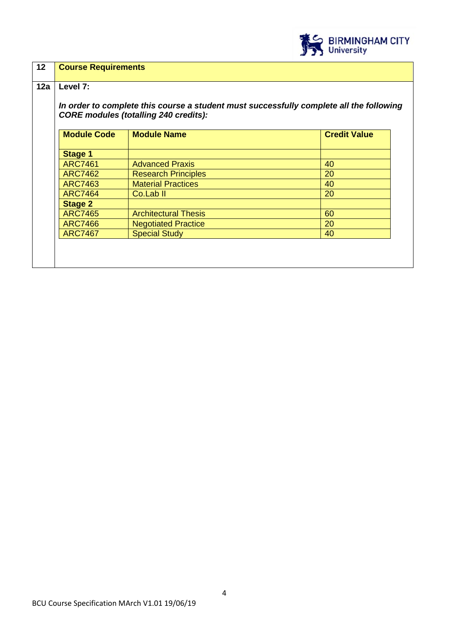

| 12 <sup>2</sup> | <b>Course Requirements</b>                                                                                                                          |                             |                     |  |
|-----------------|-----------------------------------------------------------------------------------------------------------------------------------------------------|-----------------------------|---------------------|--|
| 12a             | Level 7:<br>In order to complete this course a student must successfully complete all the following<br><b>CORE modules (totalling 240 credits):</b> |                             |                     |  |
|                 | <b>Module Code</b>                                                                                                                                  | <b>Module Name</b>          | <b>Credit Value</b> |  |
|                 | <b>Stage 1</b>                                                                                                                                      |                             |                     |  |
|                 | <b>ARC7461</b>                                                                                                                                      | <b>Advanced Praxis</b>      | 40                  |  |
|                 | <b>ARC7462</b>                                                                                                                                      | <b>Research Principles</b>  | 20                  |  |
|                 | <b>ARC7463</b>                                                                                                                                      | <b>Material Practices</b>   | 40                  |  |
|                 | <b>ARC7464</b>                                                                                                                                      | Co.Lab <sub>II</sub>        | 20                  |  |
|                 | <b>Stage 2</b>                                                                                                                                      |                             |                     |  |
|                 | <b>ARC7465</b>                                                                                                                                      | <b>Architectural Thesis</b> | 60                  |  |
|                 | <b>ARC7466</b>                                                                                                                                      | <b>Negotiated Practice</b>  | 20                  |  |
|                 | <b>ARC7467</b>                                                                                                                                      | <b>Special Study</b>        | 40                  |  |
|                 |                                                                                                                                                     |                             |                     |  |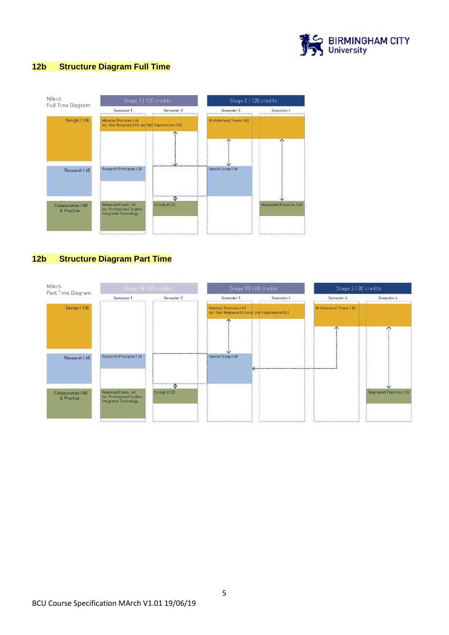

#### **12b Structure Diagram Full Time**



#### **12b Structure Diagram Part Time**

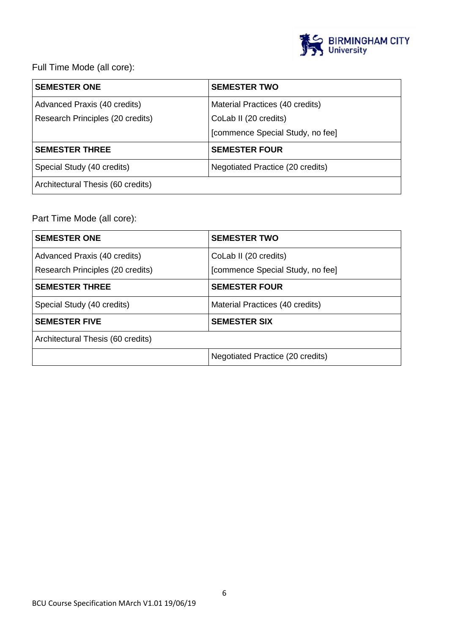

Full Time Mode (all core):

| <b>SEMESTER ONE</b>               | <b>SEMESTER TWO</b>              |
|-----------------------------------|----------------------------------|
| Advanced Praxis (40 credits)      | Material Practices (40 credits)  |
| Research Principles (20 credits)  | CoLab II (20 credits)            |
|                                   | [commence Special Study, no fee] |
| <b>SEMESTER THREE</b>             | <b>SEMESTER FOUR</b>             |
| Special Study (40 credits)        | Negotiated Practice (20 credits) |
| Architectural Thesis (60 credits) |                                  |

## Part Time Mode (all core):

| <b>SEMESTER ONE</b>               | <b>SEMESTER TWO</b>              |
|-----------------------------------|----------------------------------|
| Advanced Praxis (40 credits)      | CoLab II (20 credits)            |
| Research Principles (20 credits)  | [commence Special Study, no fee] |
| <b>SEMESTER THREE</b>             | <b>SEMESTER FOUR</b>             |
| Special Study (40 credits)        | Material Practices (40 credits)  |
| <b>SEMESTER FIVE</b>              | <b>SEMESTER SIX</b>              |
| Architectural Thesis (60 credits) |                                  |
|                                   | Negotiated Practice (20 credits) |